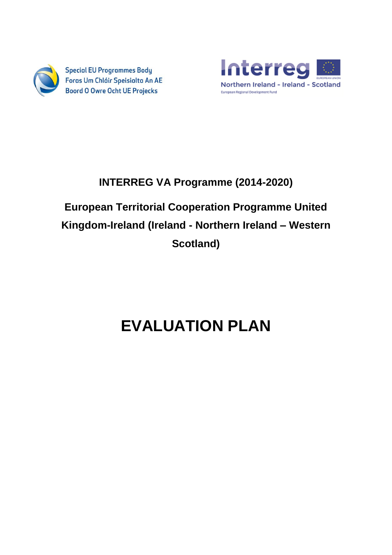

**Special EU Programmes Body** Foras Um Chláir Speisialta An AE **Boord O Owre Ocht UE Projecks** 



# **INTERREG VA Programme (2014-2020)**

# **European Territorial Cooperation Programme United Kingdom-Ireland (Ireland - Northern Ireland – Western Scotland)**

# **EVALUATION PLAN**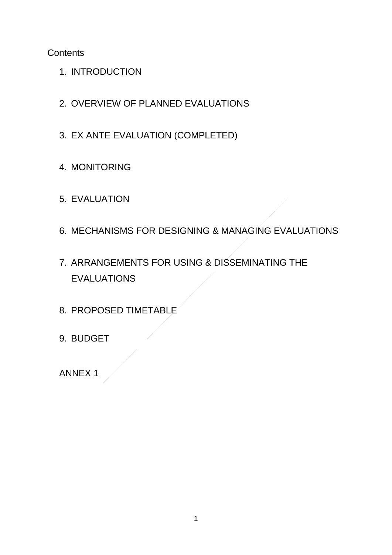**Contents** 

- 1. INTRODUCTION
- 2. OVERVIEW OF PLANNED EVALUATIONS
- 3. EX ANTE EVALUATION (COMPLETED)
- 4. MONITORING
- 5. EVALUATION
- 6. MECHANISMS FOR DESIGNING & MANAGING EVALUATIONS
- 7. ARRANGEMENTS FOR USING & DISSEMINATING THE EVALUATIONS
- 8. PROPOSED TIMETABLE
- 9. BUDGET

ANNEX 1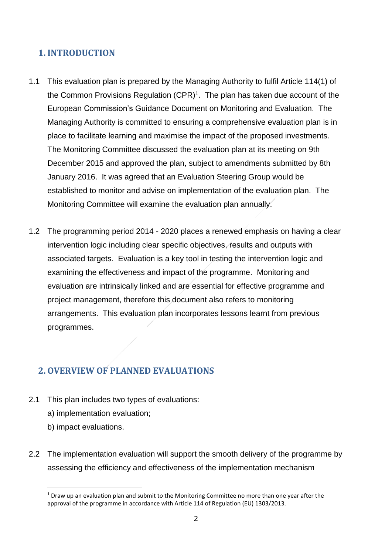# **1. INTRODUCTION**

- 1.1 This evaluation plan is prepared by the Managing Authority to fulfil Article 114(1) of the Common Provisions Regulation (CPR)<sup>1</sup>. The plan has taken due account of the European Commission's Guidance Document on Monitoring and Evaluation. The Managing Authority is committed to ensuring a comprehensive evaluation plan is in place to facilitate learning and maximise the impact of the proposed investments. The Monitoring Committee discussed the evaluation plan at its meeting on 9th December 2015 and approved the plan, subject to amendments submitted by 8th January 2016. It was agreed that an Evaluation Steering Group would be established to monitor and advise on implementation of the evaluation plan. The Monitoring Committee will examine the evaluation plan annually.
- 1.2 The programming period 2014 2020 places a renewed emphasis on having a clear intervention logic including clear specific objectives, results and outputs with associated targets. Evaluation is a key tool in testing the intervention logic and examining the effectiveness and impact of the programme. Monitoring and evaluation are intrinsically linked and are essential for effective programme and project management, therefore this document also refers to monitoring arrangements. This evaluation plan incorporates lessons learnt from previous programmes.

# **2. OVERVIEW OF PLANNED EVALUATIONS**

- 2.1 This plan includes two types of evaluations:
	- a) implementation evaluation;
	- b) impact evaluations.

**.** 

2.2 The implementation evaluation will support the smooth delivery of the programme by assessing the efficiency and effectiveness of the implementation mechanism

 $1$  Draw up an evaluation plan and submit to the Monitoring Committee no more than one year after the approval of the programme in accordance with Article 114 of Regulation (EU) 1303/2013.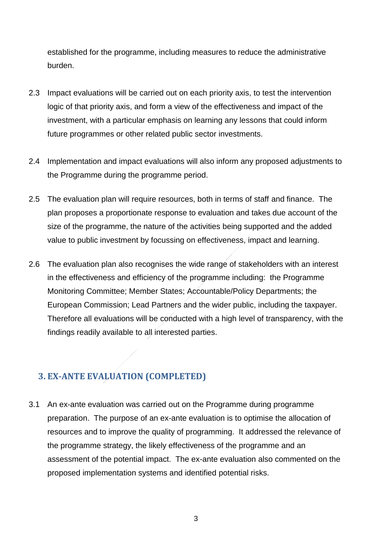established for the programme, including measures to reduce the administrative burden.

- 2.3 Impact evaluations will be carried out on each priority axis, to test the intervention logic of that priority axis, and form a view of the effectiveness and impact of the investment, with a particular emphasis on learning any lessons that could inform future programmes or other related public sector investments.
- 2.4 Implementation and impact evaluations will also inform any proposed adjustments to the Programme during the programme period.
- 2.5 The evaluation plan will require resources, both in terms of staff and finance. The plan proposes a proportionate response to evaluation and takes due account of the size of the programme, the nature of the activities being supported and the added value to public investment by focussing on effectiveness, impact and learning.
- 2.6 The evaluation plan also recognises the wide range of stakeholders with an interest in the effectiveness and efficiency of the programme including: the Programme Monitoring Committee; Member States; Accountable/Policy Departments; the European Commission; Lead Partners and the wider public, including the taxpayer. Therefore all evaluations will be conducted with a high level of transparency, with the findings readily available to all interested parties.

# **3. EX-ANTE EVALUATION (COMPLETED)**

3.1 An ex-ante evaluation was carried out on the Programme during programme preparation. The purpose of an ex-ante evaluation is to optimise the allocation of resources and to improve the quality of programming. It addressed the relevance of the programme strategy, the likely effectiveness of the programme and an assessment of the potential impact. The ex-ante evaluation also commented on the proposed implementation systems and identified potential risks.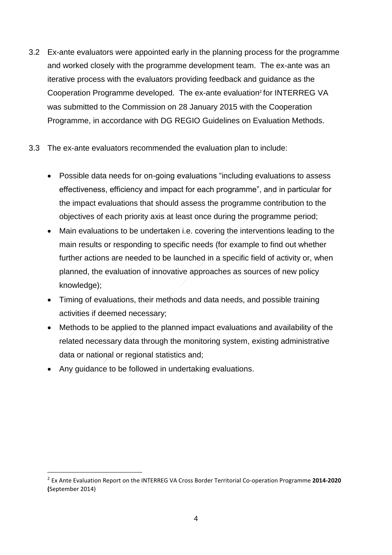- 3.2 Ex-ante evaluators were appointed early in the planning process for the programme and worked closely with the programme development team. The ex-ante was an iterative process with the evaluators providing feedback and guidance as the Cooperation Programme developed. The ex-ante evaluation<sup>2</sup> for INTERREG VA was submitted to the Commission on 28 January 2015 with the Cooperation Programme, in accordance with DG REGIO Guidelines on Evaluation Methods.
- 3.3 The ex-ante evaluators recommended the evaluation plan to include:
	- Possible data needs for on-going evaluations "including evaluations to assess effectiveness, efficiency and impact for each programme", and in particular for the impact evaluations that should assess the programme contribution to the objectives of each priority axis at least once during the programme period;
	- Main evaluations to be undertaken i.e. covering the interventions leading to the main results or responding to specific needs (for example to find out whether further actions are needed to be launched in a specific field of activity or, when planned, the evaluation of innovative approaches as sources of new policy knowledge);
	- Timing of evaluations, their methods and data needs, and possible training activities if deemed necessary;
	- Methods to be applied to the planned impact evaluations and availability of the related necessary data through the monitoring system, existing administrative data or national or regional statistics and;
	- Any guidance to be followed in undertaking evaluations.

**.** 

<sup>2</sup> Ex Ante Evaluation Report on the INTERREG VA Cross Border Territorial Co-operation Programme **2014-2020 (**September 2014)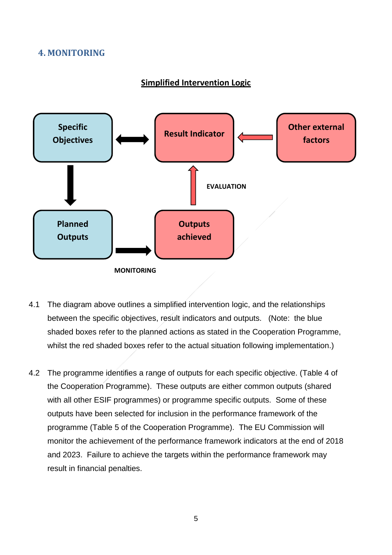## **4. MONITORING**

#### **Simplified Intervention Logic**



- 4.1 The diagram above outlines a simplified intervention logic, and the relationships between the specific objectives, result indicators and outputs. (Note: the blue shaded boxes refer to the planned actions as stated in the Cooperation Programme, whilst the red shaded boxes refer to the actual situation following implementation.)
- 4.2 The programme identifies a range of outputs for each specific objective. (Table 4 of the Cooperation Programme). These outputs are either common outputs (shared with all other ESIF programmes) or programme specific outputs. Some of these outputs have been selected for inclusion in the performance framework of the programme (Table 5 of the Cooperation Programme). The EU Commission will monitor the achievement of the performance framework indicators at the end of 2018 and 2023. Failure to achieve the targets within the performance framework may result in financial penalties.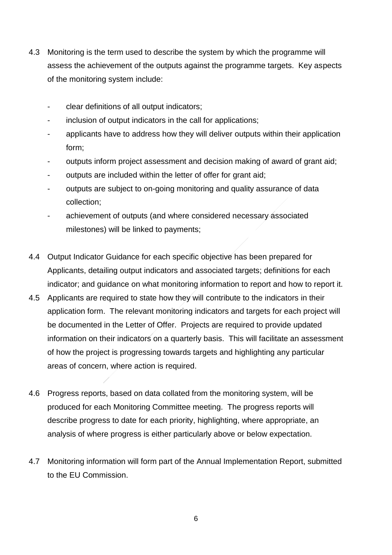- 4.3 Monitoring is the term used to describe the system by which the programme will assess the achievement of the outputs against the programme targets. Key aspects of the monitoring system include:
	- clear definitions of all output indicators;
	- inclusion of output indicators in the call for applications;
	- applicants have to address how they will deliver outputs within their application form;
	- outputs inform project assessment and decision making of award of grant aid;
	- outputs are included within the letter of offer for grant aid;
	- outputs are subject to on-going monitoring and quality assurance of data collection;
	- achievement of outputs (and where considered necessary associated milestones) will be linked to payments;
- 4.4 Output Indicator Guidance for each specific objective has been prepared for Applicants, detailing output indicators and associated targets; definitions for each indicator; and guidance on what monitoring information to report and how to report it.
- 4.5 Applicants are required to state how they will contribute to the indicators in their application form. The relevant monitoring indicators and targets for each project will be documented in the Letter of Offer. Projects are required to provide updated information on their indicators on a quarterly basis. This will facilitate an assessment of how the project is progressing towards targets and highlighting any particular areas of concern, where action is required.
- 4.6 Progress reports, based on data collated from the monitoring system, will be produced for each Monitoring Committee meeting. The progress reports will describe progress to date for each priority, highlighting, where appropriate, an analysis of where progress is either particularly above or below expectation.
- 4.7 Monitoring information will form part of the Annual Implementation Report, submitted to the EU Commission.

6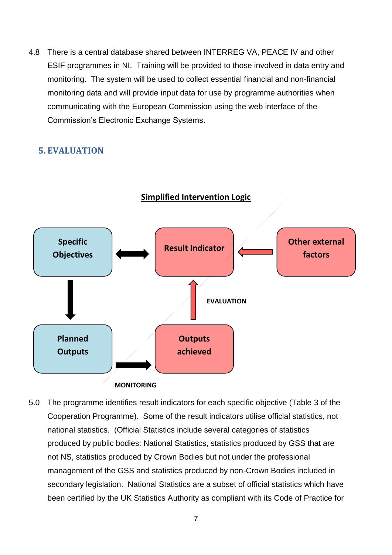4.8 There is a central database shared between INTERREG VA, PEACE IV and other ESIF programmes in NI. Training will be provided to those involved in data entry and monitoring. The system will be used to collect essential financial and non-financial monitoring data and will provide input data for use by programme authorities when communicating with the European Commission using the web interface of the Commission's Electronic Exchange Systems.

# **5. EVALUATION**



**Simplified Intervention Logic**

5.0 The programme identifies result indicators for each specific objective (Table 3 of the Cooperation Programme). Some of the result indicators utilise official statistics, not national statistics. (Official Statistics include several categories of statistics produced by public bodies: National Statistics, statistics produced by GSS that are not NS, statistics produced by Crown Bodies but not under the professional management of the GSS and statistics produced by non-Crown Bodies included in secondary legislation. National Statistics are a subset of official statistics which have been certified by the UK Statistics Authority as compliant with its Code of Practice for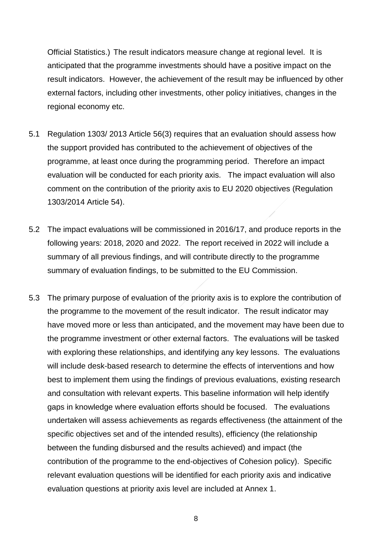Official Statistics.) The result indicators measure change at regional level. It is anticipated that the programme investments should have a positive impact on the result indicators. However, the achievement of the result may be influenced by other external factors, including other investments, other policy initiatives, changes in the regional economy etc.

- 5.1 Regulation 1303/ 2013 Article 56(3) requires that an evaluation should assess how the support provided has contributed to the achievement of objectives of the programme, at least once during the programming period. Therefore an impact evaluation will be conducted for each priority axis. The impact evaluation will also comment on the contribution of the priority axis to EU 2020 objectives (Regulation 1303/2014 Article 54).
- 5.2 The impact evaluations will be commissioned in 2016/17, and produce reports in the following years: 2018, 2020 and 2022. The report received in 2022 will include a summary of all previous findings, and will contribute directly to the programme summary of evaluation findings, to be submitted to the EU Commission.
- 5.3 The primary purpose of evaluation of the priority axis is to explore the contribution of the programme to the movement of the result indicator. The result indicator may have moved more or less than anticipated, and the movement may have been due to the programme investment or other external factors. The evaluations will be tasked with exploring these relationships, and identifying any key lessons. The evaluations will include desk-based research to determine the effects of interventions and how best to implement them using the findings of previous evaluations, existing research and consultation with relevant experts. This baseline information will help identify gaps in knowledge where evaluation efforts should be focused. The evaluations undertaken will assess achievements as regards effectiveness (the attainment of the specific objectives set and of the intended results), efficiency (the relationship between the funding disbursed and the results achieved) and impact (the contribution of the programme to the end-objectives of Cohesion policy). Specific relevant evaluation questions will be identified for each priority axis and indicative evaluation questions at priority axis level are included at Annex 1.

8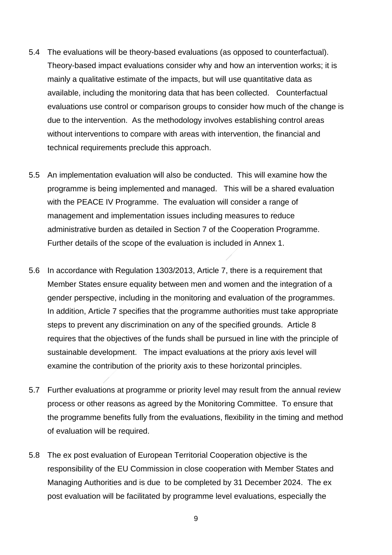- 5.4 The evaluations will be theory-based evaluations (as opposed to counterfactual). Theory-based impact evaluations consider why and how an intervention works; it is mainly a qualitative estimate of the impacts, but will use quantitative data as available, including the monitoring data that has been collected. Counterfactual evaluations use control or comparison groups to consider how much of the change is due to the intervention. As the methodology involves establishing control areas without interventions to compare with areas with intervention, the financial and technical requirements preclude this approach.
- 5.5 An implementation evaluation will also be conducted. This will examine how the programme is being implemented and managed. This will be a shared evaluation with the PEACE IV Programme. The evaluation will consider a range of management and implementation issues including measures to reduce administrative burden as detailed in Section 7 of the Cooperation Programme. Further details of the scope of the evaluation is included in Annex 1.
- 5.6 In accordance with Regulation 1303/2013, Article 7, there is a requirement that Member States ensure equality between men and women and the integration of a gender perspective, including in the monitoring and evaluation of the programmes. In addition, Article 7 specifies that the programme authorities must take appropriate steps to prevent any discrimination on any of the specified grounds. Article 8 requires that the objectives of the funds shall be pursued in line with the principle of sustainable development. The impact evaluations at the priory axis level will examine the contribution of the priority axis to these horizontal principles.
- 5.7 Further evaluations at programme or priority level may result from the annual review process or other reasons as agreed by the Monitoring Committee. To ensure that the programme benefits fully from the evaluations, flexibility in the timing and method of evaluation will be required.
- 5.8 The ex post evaluation of European Territorial Cooperation objective is the responsibility of the EU Commission in close cooperation with Member States and Managing Authorities and is due to be completed by 31 December 2024. The ex post evaluation will be facilitated by programme level evaluations, especially the

9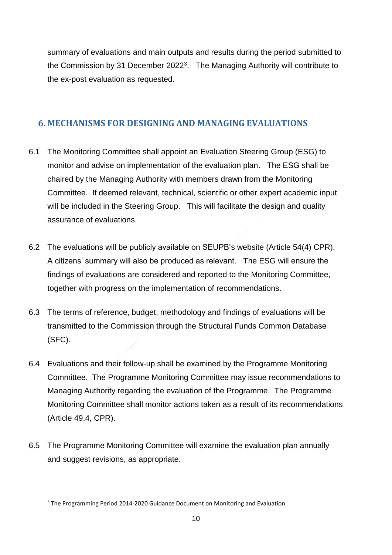summary of evaluations and main outputs and results during the period submitted to the Commission by 31 December 2022<sup>3</sup>. The Managing Authority will contribute to the ex-post evaluation as requested.

## **6. MECHANISMS FOR DESIGNING AND MANAGING EVALUATIONS**

- 6.1 The Monitoring Committee shall appoint an Evaluation Steering Group (ESG) to monitor and advise on implementation of the evaluation plan. The ESG shall be chaired by the Managing Authority with members drawn from the Monitoring Committee. If deemed relevant, technical, scientific or other expert academic input will be included in the Steering Group. This will facilitate the design and quality assurance of evaluations.
- 6.2 The evaluations will be publicly available on SEUPB's website (Article 54(4) CPR). A citizens' summary will also be produced as relevant. The ESG will ensure the findings of evaluations are considered and reported to the Monitoring Committee, together with progress on the implementation of recommendations.
- 6.3 The terms of reference, budget, methodology and findings of evaluations will be transmitted to the Commission through the Structural Funds Common Database (SFC).
- 6.4 Evaluations and their follow-up shall be examined by the Programme Monitoring Committee. The Programme Monitoring Committee may issue recommendations to Managing Authority regarding the evaluation of the Programme. The Programme Monitoring Committee shall monitor actions taken as a result of its recommendations (Article 49.4, CPR).
- 6.5 The Programme Monitoring Committee will examine the evaluation plan annually and suggest revisions, as appropriate.

**.** 

<sup>3</sup> The Programming Period 2014-2020 Guidance Document on Monitoring and Evaluation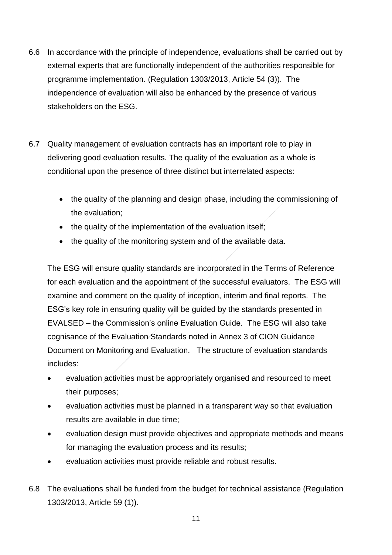- 6.6 In accordance with the principle of independence, evaluations shall be carried out by external experts that are functionally independent of the authorities responsible for programme implementation. (Regulation 1303/2013, Article 54 (3)). The independence of evaluation will also be enhanced by the presence of various stakeholders on the ESG.
- 6.7 Quality management of evaluation contracts has an important role to play in delivering good evaluation results. The quality of the evaluation as a whole is conditional upon the presence of three distinct but interrelated aspects:
	- the quality of the planning and design phase, including the commissioning of the evaluation;
	- the quality of the implementation of the evaluation itself;
	- the quality of the monitoring system and of the available data.

The ESG will ensure quality standards are incorporated in the Terms of Reference for each evaluation and the appointment of the successful evaluators. The ESG will examine and comment on the quality of inception, interim and final reports. The ESG's key role in ensuring quality will be guided by the standards presented in EVALSED – the Commission's online Evaluation Guide. The ESG will also take cognisance of the Evaluation Standards noted in Annex 3 of CION Guidance Document on Monitoring and Evaluation. The structure of evaluation standards includes:

- evaluation activities must be appropriately organised and resourced to meet their purposes;
- evaluation activities must be planned in a transparent way so that evaluation results are available in due time;
- evaluation design must provide objectives and appropriate methods and means for managing the evaluation process and its results;
- evaluation activities must provide reliable and robust results.
- 6.8 The evaluations shall be funded from the budget for technical assistance (Regulation 1303/2013, Article 59 (1)).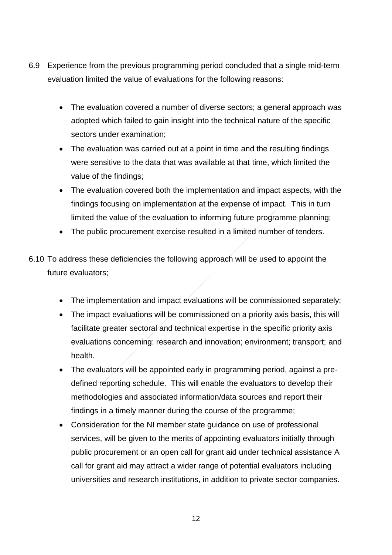- 6.9 Experience from the previous programming period concluded that a single mid-term evaluation limited the value of evaluations for the following reasons:
	- The evaluation covered a number of diverse sectors; a general approach was adopted which failed to gain insight into the technical nature of the specific sectors under examination;
	- The evaluation was carried out at a point in time and the resulting findings were sensitive to the data that was available at that time, which limited the value of the findings;
	- The evaluation covered both the implementation and impact aspects, with the findings focusing on implementation at the expense of impact. This in turn limited the value of the evaluation to informing future programme planning;
	- The public procurement exercise resulted in a limited number of tenders.
- 6.10 To address these deficiencies the following approach will be used to appoint the future evaluators;
	- The implementation and impact evaluations will be commissioned separately;
	- The impact evaluations will be commissioned on a priority axis basis, this will facilitate greater sectoral and technical expertise in the specific priority axis evaluations concerning: research and innovation; environment; transport; and health.
	- The evaluators will be appointed early in programming period, against a predefined reporting schedule. This will enable the evaluators to develop their methodologies and associated information/data sources and report their findings in a timely manner during the course of the programme;
	- Consideration for the NI member state guidance on use of professional services, will be given to the merits of appointing evaluators initially through public procurement or an open call for grant aid under technical assistance A call for grant aid may attract a wider range of potential evaluators including universities and research institutions, in addition to private sector companies.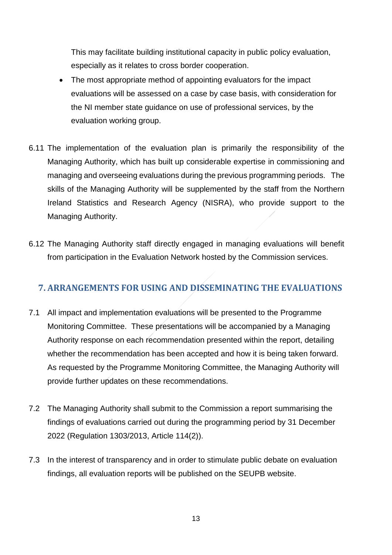This may facilitate building institutional capacity in public policy evaluation, especially as it relates to cross border cooperation.

- The most appropriate method of appointing evaluators for the impact evaluations will be assessed on a case by case basis, with consideration for the NI member state guidance on use of professional services, by the evaluation working group.
- 6.11 The implementation of the evaluation plan is primarily the responsibility of the Managing Authority, which has built up considerable expertise in commissioning and managing and overseeing evaluations during the previous programming periods. The skills of the Managing Authority will be supplemented by the staff from the Northern Ireland Statistics and Research Agency (NISRA), who provide support to the Managing Authority.
- 6.12 The Managing Authority staff directly engaged in managing evaluations will benefit from participation in the Evaluation Network hosted by the Commission services.

# **7. ARRANGEMENTS FOR USING AND DISSEMINATING THE EVALUATIONS**

- 7.1 All impact and implementation evaluations will be presented to the Programme Monitoring Committee. These presentations will be accompanied by a Managing Authority response on each recommendation presented within the report, detailing whether the recommendation has been accepted and how it is being taken forward. As requested by the Programme Monitoring Committee, the Managing Authority will provide further updates on these recommendations.
- 7.2 The Managing Authority shall submit to the Commission a report summarising the findings of evaluations carried out during the programming period by 31 December 2022 (Regulation 1303/2013, Article 114(2)).
- 7.3 In the interest of transparency and in order to stimulate public debate on evaluation findings, all evaluation reports will be published on the SEUPB website.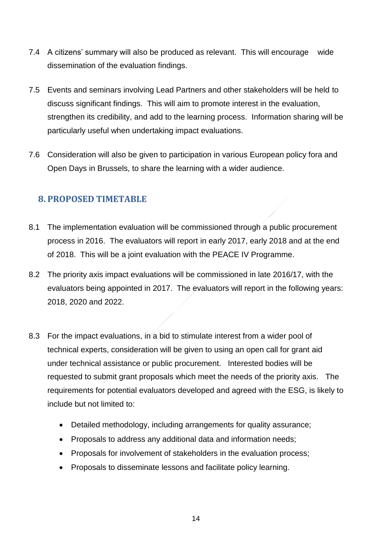- 7.4 A citizens' summary will also be produced as relevant. This will encourage wide dissemination of the evaluation findings.
- 7.5 Events and seminars involving Lead Partners and other stakeholders will be held to discuss significant findings. This will aim to promote interest in the evaluation, strengthen its credibility, and add to the learning process. Information sharing will be particularly useful when undertaking impact evaluations.
- 7.6 Consideration will also be given to participation in various European policy fora and Open Days in Brussels, to share the learning with a wider audience.

# **8. PROPOSED TIMETABLE**

- 8.1 The implementation evaluation will be commissioned through a public procurement process in 2016. The evaluators will report in early 2017, early 2018 and at the end of 2018. This will be a joint evaluation with the PEACE IV Programme.
- 8.2 The priority axis impact evaluations will be commissioned in late 2016/17, with the evaluators being appointed in 2017. The evaluators will report in the following years: 2018, 2020 and 2022.
- 8.3 For the impact evaluations, in a bid to stimulate interest from a wider pool of technical experts, consideration will be given to using an open call for grant aid under technical assistance or public procurement. Interested bodies will be requested to submit grant proposals which meet the needs of the priority axis. The requirements for potential evaluators developed and agreed with the ESG, is likely to include but not limited to:
	- Detailed methodology, including arrangements for quality assurance;
	- Proposals to address any additional data and information needs;
	- Proposals for involvement of stakeholders in the evaluation process;
	- Proposals to disseminate lessons and facilitate policy learning.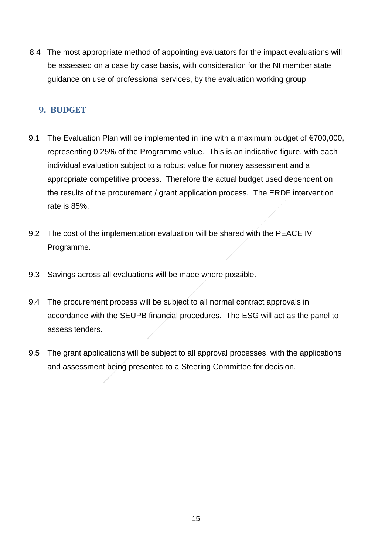8.4 The most appropriate method of appointing evaluators for the impact evaluations will be assessed on a case by case basis, with consideration for the NI member state guidance on use of professional services, by the evaluation working group

#### **9. BUDGET**

- 9.1 The Evaluation Plan will be implemented in line with a maximum budget of €700,000, representing 0.25% of the Programme value. This is an indicative figure, with each individual evaluation subject to a robust value for money assessment and a appropriate competitive process. Therefore the actual budget used dependent on the results of the procurement / grant application process. The ERDF intervention rate is 85%.
- 9.2 The cost of the implementation evaluation will be shared with the PEACE IV Programme.
- 9.3 Savings across all evaluations will be made where possible.
- 9.4 The procurement process will be subject to all normal contract approvals in accordance with the SEUPB financial procedures. The ESG will act as the panel to assess tenders.
- 9.5 The grant applications will be subject to all approval processes, with the applications and assessment being presented to a Steering Committee for decision.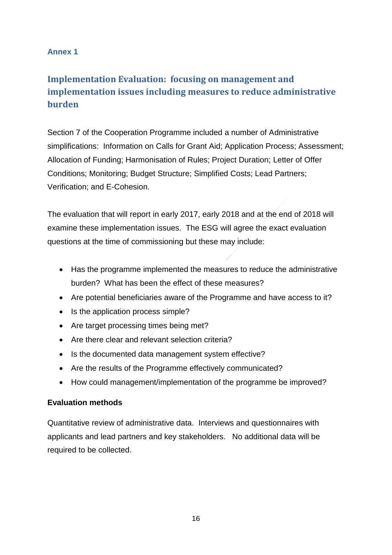#### **Annex 1**

# **Implementation Evaluation: focusing on management and implementation issues including measures to reduce administrative burden**

Section 7 of the Cooperation Programme included a number of Administrative simplifications: Information on Calls for Grant Aid; Application Process; Assessment; Allocation of Funding; Harmonisation of Rules; Project Duration; Letter of Offer Conditions; Monitoring; Budget Structure; Simplified Costs; Lead Partners; Verification; and E-Cohesion.

The evaluation that will report in early 2017, early 2018 and at the end of 2018 will examine these implementation issues. The ESG will agree the exact evaluation questions at the time of commissioning but these may include:

- Has the programme implemented the measures to reduce the administrative burden? What has been the effect of these measures?
- Are potential beneficiaries aware of the Programme and have access to it?
- Is the application process simple?
- Are target processing times being met?
- Are there clear and relevant selection criteria?
- Is the documented data management system effective?
- Are the results of the Programme effectively communicated?
- How could management/implementation of the programme be improved?

#### **Evaluation methods**

Quantitative review of administrative data. Interviews and questionnaires with applicants and lead partners and key stakeholders. No additional data will be required to be collected.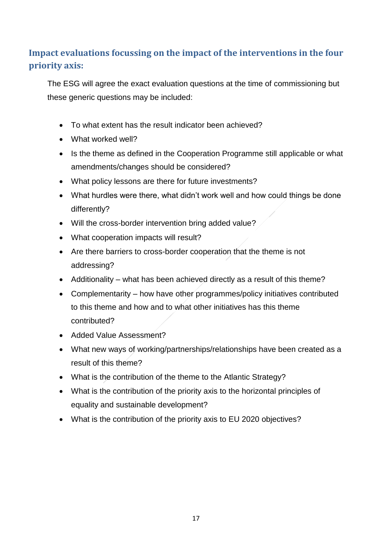# **Impact evaluations focussing on the impact of the interventions in the four priority axis:**

The ESG will agree the exact evaluation questions at the time of commissioning but these generic questions may be included:

- To what extent has the result indicator been achieved?
- What worked well?
- Is the theme as defined in the Cooperation Programme still applicable or what amendments/changes should be considered?
- What policy lessons are there for future investments?
- What hurdles were there, what didn't work well and how could things be done differently?
- Will the cross-border intervention bring added value?
- What cooperation impacts will result?
- Are there barriers to cross-border cooperation that the theme is not addressing?
- Additionality what has been achieved directly as a result of this theme?
- Complementarity how have other programmes/policy initiatives contributed to this theme and how and to what other initiatives has this theme contributed?
- Added Value Assessment?
- What new ways of working/partnerships/relationships have been created as a result of this theme?
- What is the contribution of the theme to the Atlantic Strategy?
- What is the contribution of the priority axis to the horizontal principles of equality and sustainable development?
- What is the contribution of the priority axis to EU 2020 objectives?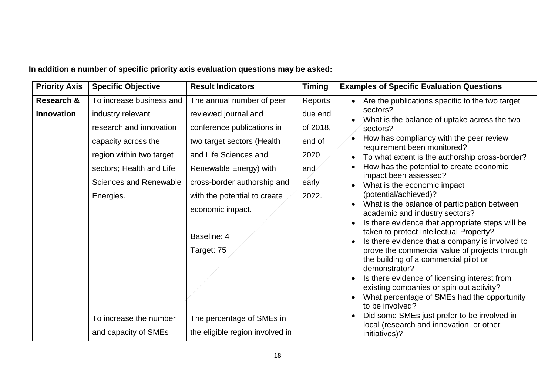| <b>Priority Axis</b> | <b>Specific Objective</b> | <b>Result Indicators</b>        | <b>Timing</b> | <b>Examples of Specific Evaluation Questions</b>                                           |
|----------------------|---------------------------|---------------------------------|---------------|--------------------------------------------------------------------------------------------|
| Research &           | To increase business and  | The annual number of peer       | Reports       | Are the publications specific to the two target                                            |
| <b>Innovation</b>    | industry relevant         | reviewed journal and            | due end       | sectors?<br>What is the balance of uptake across the two                                   |
|                      | research and innovation   | conference publications in      | of 2018,      | sectors?                                                                                   |
|                      | capacity across the       | two target sectors (Health      | end of        | How has compliancy with the peer review<br>requirement been monitored?                     |
|                      | region within two target  | and Life Sciences and           | 2020          | To what extent is the authorship cross-border?                                             |
|                      | sectors; Health and Life  | Renewable Energy) with          | and           | How has the potential to create economic                                                   |
|                      | Sciences and Renewable    | cross-border authorship and     | early         | impact been assessed?<br>What is the economic impact                                       |
|                      | Energies.                 | with the potential to create    | 2022.         | (potential/achieved)?                                                                      |
|                      |                           | economic impact.                |               | What is the balance of participation between<br>academic and industry sectors?             |
|                      |                           |                                 |               | Is there evidence that appropriate steps will be                                           |
|                      |                           | Baseline: 4                     |               | taken to protect Intellectual Property?<br>Is there evidence that a company is involved to |
|                      |                           | Target: 75                      |               | prove the commercial value of projects through                                             |
|                      |                           |                                 |               | the building of a commercial pilot or<br>demonstrator?                                     |
|                      |                           |                                 |               | Is there evidence of licensing interest from                                               |
|                      |                           |                                 |               | existing companies or spin out activity?<br>What percentage of SMEs had the opportunity    |
|                      |                           |                                 |               | to be involved?                                                                            |
|                      | To increase the number    | The percentage of SMEs in       |               | Did some SMEs just prefer to be involved in<br>local (research and innovation, or other    |
|                      | and capacity of SMEs      | the eligible region involved in |               | initiatives)?                                                                              |

**In addition a number of specific priority axis evaluation questions may be asked:**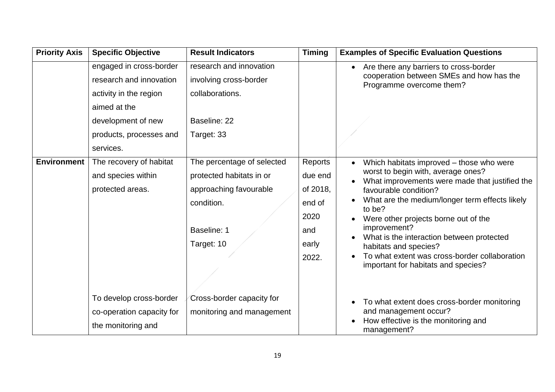| <b>Priority Axis</b> | <b>Specific Objective</b> | <b>Result Indicators</b>   | <b>Timing</b> | <b>Examples of Specific Evaluation Questions</b>                                     |
|----------------------|---------------------------|----------------------------|---------------|--------------------------------------------------------------------------------------|
|                      | engaged in cross-border   | research and innovation    |               | Are there any barriers to cross-border<br>$\bullet$                                  |
|                      | research and innovation   | involving cross-border     |               | cooperation between SMEs and how has the<br>Programme overcome them?                 |
|                      | activity in the region    | collaborations.            |               |                                                                                      |
|                      | aimed at the              |                            |               |                                                                                      |
|                      | development of new        | Baseline: 22               |               |                                                                                      |
|                      | products, processes and   | Target: 33                 |               |                                                                                      |
|                      | services.                 |                            |               |                                                                                      |
| <b>Environment</b>   | The recovery of habitat   | The percentage of selected | Reports       | Which habitats improved – those who were<br>$\bullet$                                |
|                      | and species within        | protected habitats in or   | due end       | worst to begin with, average ones?<br>What improvements were made that justified the |
|                      | protected areas.          | approaching favourable     | of 2018,      | favourable condition?                                                                |
|                      |                           | condition.                 | end of        | What are the medium/longer term effects likely<br>to be?                             |
|                      |                           |                            | 2020          | Were other projects borne out of the<br>$\bullet$                                    |
|                      |                           | Baseline: 1                | and           | improvement?                                                                         |
|                      |                           | Target: 10                 | early         | What is the interaction between protected<br>habitats and species?                   |
|                      |                           |                            | 2022.         | To what extent was cross-border collaboration                                        |
|                      |                           |                            |               | important for habitats and species?                                                  |
|                      |                           |                            |               |                                                                                      |
|                      | To develop cross-border   | Cross-border capacity for  |               | To what extent does cross-border monitoring<br>$\bullet$                             |
|                      | co-operation capacity for | monitoring and management  |               | and management occur?                                                                |
|                      | the monitoring and        |                            |               | How effective is the monitoring and<br>management?                                   |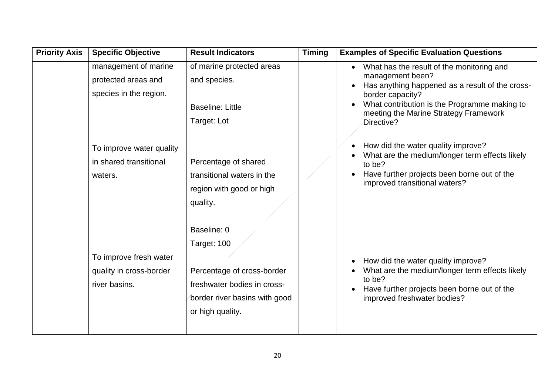| <b>Priority Axis</b> | <b>Specific Objective</b>                                                                         | <b>Result Indicators</b>                                                                                                 | <b>Timing</b> | <b>Examples of Specific Evaluation Questions</b>                                                                                                                                                                                                                                               |
|----------------------|---------------------------------------------------------------------------------------------------|--------------------------------------------------------------------------------------------------------------------------|---------------|------------------------------------------------------------------------------------------------------------------------------------------------------------------------------------------------------------------------------------------------------------------------------------------------|
|                      | management of marine<br>protected areas and<br>species in the region.<br>To improve water quality | of marine protected areas<br>and species.<br><b>Baseline: Little</b><br>Target: Lot                                      |               | What has the result of the monitoring and<br>$\bullet$<br>management been?<br>Has anything happened as a result of the cross-<br>border capacity?<br>What contribution is the Programme making to<br>meeting the Marine Strategy Framework<br>Directive?<br>How did the water quality improve? |
|                      | in shared transitional<br>waters.                                                                 | Percentage of shared<br>transitional waters in the<br>region with good or high<br>quality.<br>Baseline: 0<br>Target: 100 |               | What are the medium/longer term effects likely<br>to be?<br>Have further projects been borne out of the<br>improved transitional waters?                                                                                                                                                       |
|                      | To improve fresh water<br>quality in cross-border<br>river basins.                                | Percentage of cross-border<br>freshwater bodies in cross-<br>border river basins with good<br>or high quality.           |               | How did the water quality improve?<br>What are the medium/longer term effects likely<br>to be?<br>Have further projects been borne out of the<br>improved freshwater bodies?                                                                                                                   |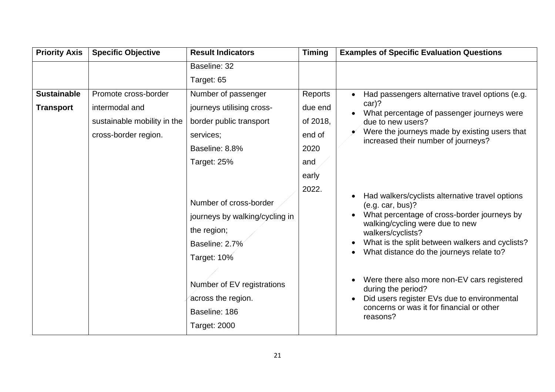| <b>Priority Axis</b> | <b>Specific Objective</b>   | <b>Result Indicators</b>                                                                                                                                                                             | <b>Timing</b> | <b>Examples of Specific Evaluation Questions</b>                                                                                                                                                                                                                                                                                                                                                                                                                                 |
|----------------------|-----------------------------|------------------------------------------------------------------------------------------------------------------------------------------------------------------------------------------------------|---------------|----------------------------------------------------------------------------------------------------------------------------------------------------------------------------------------------------------------------------------------------------------------------------------------------------------------------------------------------------------------------------------------------------------------------------------------------------------------------------------|
|                      |                             | Baseline: 32                                                                                                                                                                                         |               |                                                                                                                                                                                                                                                                                                                                                                                                                                                                                  |
|                      |                             | Target: 65                                                                                                                                                                                           |               |                                                                                                                                                                                                                                                                                                                                                                                                                                                                                  |
| <b>Sustainable</b>   | Promote cross-border        | Number of passenger                                                                                                                                                                                  | Reports       | Had passengers alternative travel options (e.g.                                                                                                                                                                                                                                                                                                                                                                                                                                  |
| <b>Transport</b>     | intermodal and              | journeys utilising cross-                                                                                                                                                                            | due end       | $car$ ?<br>What percentage of passenger journeys were                                                                                                                                                                                                                                                                                                                                                                                                                            |
|                      | sustainable mobility in the | border public transport                                                                                                                                                                              | of 2018,      | due to new users?                                                                                                                                                                                                                                                                                                                                                                                                                                                                |
|                      | cross-border region.        | services;                                                                                                                                                                                            | end of        | Were the journeys made by existing users that                                                                                                                                                                                                                                                                                                                                                                                                                                    |
|                      |                             | Baseline: 8.8%                                                                                                                                                                                       | 2020          | increased their number of journeys?                                                                                                                                                                                                                                                                                                                                                                                                                                              |
|                      |                             | Target: 25%                                                                                                                                                                                          | and           |                                                                                                                                                                                                                                                                                                                                                                                                                                                                                  |
|                      |                             |                                                                                                                                                                                                      | early         |                                                                                                                                                                                                                                                                                                                                                                                                                                                                                  |
|                      |                             | Number of cross-border<br>journeys by walking/cycling in<br>the region;<br>Baseline: 2.7%<br>Target: 10%<br>Number of EV registrations<br>across the region.<br>Baseline: 186<br><b>Target: 2000</b> | 2022.         | Had walkers/cyclists alternative travel options<br>$\bullet$<br>(e.g. car, bus)?<br>What percentage of cross-border journeys by<br>walking/cycling were due to new<br>walkers/cyclists?<br>What is the split between walkers and cyclists?<br>What distance do the journeys relate to?<br>Were there also more non-EV cars registered<br>$\bullet$<br>during the period?<br>Did users register EVs due to environmental<br>concerns or was it for financial or other<br>reasons? |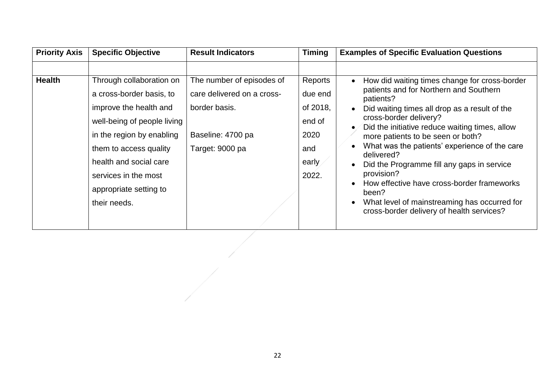| <b>Priority Axis</b> | <b>Specific Objective</b>                                                                                                                                                                                                                                        | <b>Result Indicators</b>                                                                                         | <b>Timing</b>                                                             | <b>Examples of Specific Evaluation Questions</b>                                                                                                                                                                                                                                                                                                                                                                                                                                                                                                                   |
|----------------------|------------------------------------------------------------------------------------------------------------------------------------------------------------------------------------------------------------------------------------------------------------------|------------------------------------------------------------------------------------------------------------------|---------------------------------------------------------------------------|--------------------------------------------------------------------------------------------------------------------------------------------------------------------------------------------------------------------------------------------------------------------------------------------------------------------------------------------------------------------------------------------------------------------------------------------------------------------------------------------------------------------------------------------------------------------|
| <b>Health</b>        | Through collaboration on<br>a cross-border basis, to<br>improve the health and<br>well-being of people living<br>in the region by enabling<br>them to access quality<br>health and social care<br>services in the most<br>appropriate setting to<br>their needs. | The number of episodes of<br>care delivered on a cross-<br>border basis.<br>Baseline: 4700 pa<br>Target: 9000 pa | Reports<br>due end<br>of 2018,<br>end of<br>2020<br>and<br>early<br>2022. | How did waiting times change for cross-border<br>patients and for Northern and Southern<br>patients?<br>Did waiting times all drop as a result of the<br>cross-border delivery?<br>Did the initiative reduce waiting times, allow<br>more patients to be seen or both?<br>What was the patients' experience of the care<br>delivered?<br>Did the Programme fill any gaps in service<br>provision?<br>How effective have cross-border frameworks<br>$\bullet$<br>been?<br>What level of mainstreaming has occurred for<br>cross-border delivery of health services? |